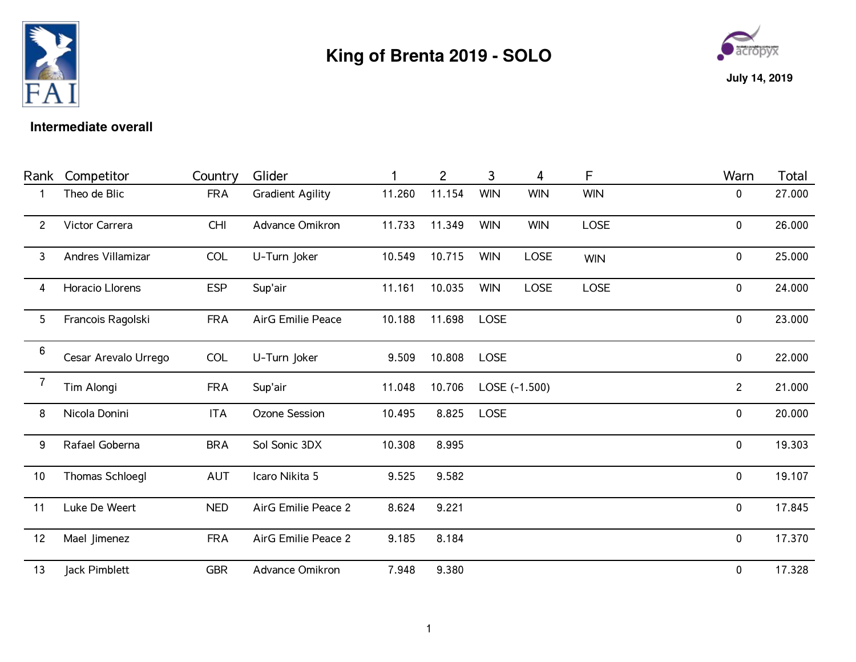

## **King of Brenta 2019 - SOLO**



## **Intermediate overall**

| Rank                  | Competitor           | Country    | Glider                  |        | $\overline{2}$ | 3           | 4             | F          | Warn         | Total  |
|-----------------------|----------------------|------------|-------------------------|--------|----------------|-------------|---------------|------------|--------------|--------|
|                       | Theo de Blic         | <b>FRA</b> | <b>Gradient Agility</b> | 11.260 | 11.154         | <b>WIN</b>  | <b>WIN</b>    | <b>WIN</b> | 0            | 27.000 |
| $\mathbf{2}^{\prime}$ | Victor Carrera       | <b>CHI</b> | Advance Omikron         | 11.733 | 11.349         | <b>WIN</b>  | <b>WIN</b>    | LOSE       | $\pmb{0}$    | 26.000 |
| 3                     | Andres Villamizar    | COL        | U-Turn Joker            | 10.549 | 10.715         | <b>WIN</b>  | <b>LOSE</b>   | <b>WIN</b> | $\pmb{0}$    | 25.000 |
| 4                     | Horacio Llorens      | <b>ESP</b> | Sup'air                 | 11.161 | 10.035         | <b>WIN</b>  | LOSE          | LOSE       | 0            | 24.000 |
| 5                     | Francois Ragolski    | <b>FRA</b> | AirG Emilie Peace       | 10.188 | 11.698         | <b>LOSE</b> |               |            | 0            | 23.000 |
| 6                     | Cesar Arevalo Urrego | COL        | U-Turn Joker            | 9.509  | 10.808         | <b>LOSE</b> |               |            | 0            | 22.000 |
| $\overline{7}$        | Tim Alongi           | <b>FRA</b> | Sup'air                 | 11.048 | 10.706         |             | LOSE (-1.500) |            | $\mathbf{2}$ | 21.000 |
| 8                     | Nicola Donini        | <b>ITA</b> | Ozone Session           | 10.495 | 8.825          | <b>LOSE</b> |               |            | $\pmb{0}$    | 20.000 |
| 9                     | Rafael Goberna       | <b>BRA</b> | Sol Sonic 3DX           | 10.308 | 8.995          |             |               |            | $\pmb{0}$    | 19.303 |
| 10                    | Thomas Schloegl      | <b>AUT</b> | Icaro Nikita 5          | 9.525  | 9.582          |             |               |            | $\pmb{0}$    | 19.107 |
| 11                    | Luke De Weert        | <b>NED</b> | AirG Emilie Peace 2     | 8.624  | 9.221          |             |               |            | 0            | 17.845 |
| 12                    | Mael Jimenez         | <b>FRA</b> | AirG Emilie Peace 2     | 9.185  | 8.184          |             |               |            | $\pmb{0}$    | 17.370 |
| 13                    | Jack Pimblett        | <b>GBR</b> | Advance Omikron         | 7.948  | 9.380          |             |               |            | 0            | 17.328 |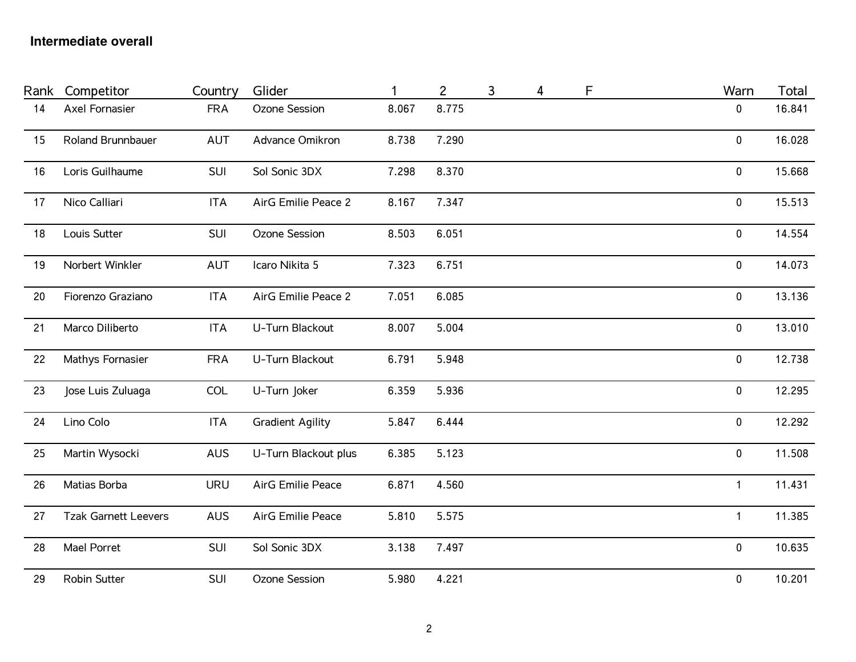## **Intermediate overall**

| Rank | Competitor                  | Country    | Glider                   |       | $\overline{c}$ | 3 | 4 | F | Warn         | Total  |
|------|-----------------------------|------------|--------------------------|-------|----------------|---|---|---|--------------|--------|
| 14   | Axel Fornasier              | <b>FRA</b> | Ozone Session            | 8.067 | 8.775          |   |   |   | 0            | 16.841 |
| 15   | <b>Roland Brunnbauer</b>    | AUT        | Advance Omikron          | 8.738 | 7.290          |   |   |   | $\mathbf 0$  | 16.028 |
| 16   | Loris Guilhaume             | SUI        | Sol Sonic 3DX            | 7.298 | 8.370          |   |   |   | $\pmb{0}$    | 15.668 |
| 17   | Nico Calliari               | <b>ITA</b> | AirG Emilie Peace 2      | 8.167 | 7.347          |   |   |   | 0            | 15.513 |
| 18   | Louis Sutter                | SUI        | Ozone Session            | 8.503 | 6.051          |   |   |   | 0            | 14.554 |
| 19   | Norbert Winkler             | AUT        | Icaro Nikita 5           | 7.323 | 6.751          |   |   |   | $\pmb{0}$    | 14.073 |
| 20   | Fiorenzo Graziano           | <b>ITA</b> | AirG Emilie Peace 2      | 7.051 | 6.085          |   |   |   | $\mathbf 0$  | 13.136 |
| 21   | Marco Diliberto             | <b>ITA</b> | U-Turn Blackout          | 8.007 | 5.004          |   |   |   | 0            | 13.010 |
| 22   | Mathys Fornasier            | <b>FRA</b> | U-Turn Blackout          | 6.791 | 5.948          |   |   |   | $\pmb{0}$    | 12.738 |
| 23   | Jose Luis Zuluaga           | <b>COL</b> | U-Turn Joker             | 6.359 | 5.936          |   |   |   | $\pmb{0}$    | 12.295 |
| 24   | Lino Colo                   | <b>ITA</b> | <b>Gradient Agility</b>  | 5.847 | 6.444          |   |   |   | $\pmb{0}$    | 12.292 |
| 25   | Martin Wysocki              | <b>AUS</b> | U-Turn Blackout plus     | 6.385 | 5.123          |   |   |   | $\pmb{0}$    | 11.508 |
| 26   | Matias Borba                | <b>URU</b> | <b>AirG Emilie Peace</b> | 6.871 | 4.560          |   |   |   | $\mathbf{1}$ | 11.431 |
| 27   | <b>Tzak Garnett Leevers</b> | AUS        | <b>AirG Emilie Peace</b> | 5.810 | 5.575          |   |   |   | $\mathbf{1}$ | 11.385 |
| 28   | Mael Porret                 | SUI        | Sol Sonic 3DX            | 3.138 | 7.497          |   |   |   | $\pmb{0}$    | 10.635 |
| 29   | Robin Sutter                | SUI        | Ozone Session            | 5.980 | 4.221          |   |   |   | $\pmb{0}$    | 10.201 |